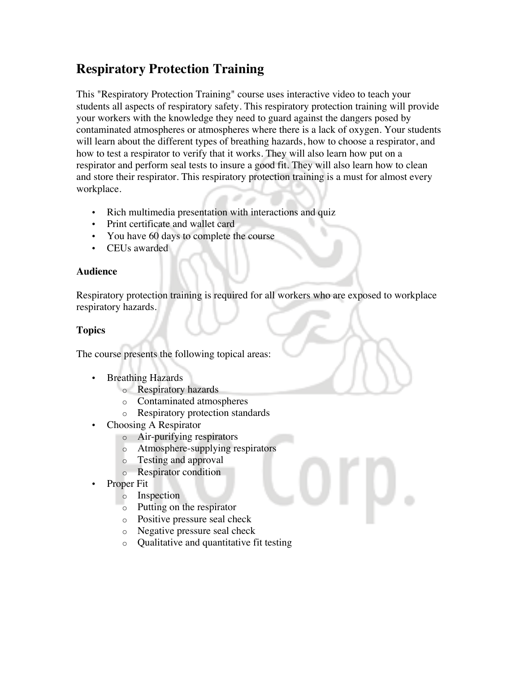# **Respiratory Protection Training**

This "Respiratory Protection Training" course uses interactive video to teach your students all aspects of respiratory safety. This respiratory protection training will provide your workers with the knowledge they need to guard against the dangers posed by contaminated atmospheres or atmospheres where there is a lack of oxygen. Your students will learn about the different types of breathing hazards, how to choose a respirator, and how to test a respirator to verify that it works. They will also learn how put on a respirator and perform seal tests to insure a good fit. They will also learn how to clean and store their respirator. This respiratory protection training is a must for almost every workplace.

- Rich multimedia presentation with interactions and quiz
- Print certificate and wallet card
- You have 60 days to complete the course
- CEUs awarded

## **Audience**

Respiratory protection training is required for all workers who are exposed to workplace respiratory hazards.

# **Topics**

The course presents the following topical areas:

- Breathing Hazards
	- o Respiratory hazards
	- o Contaminated atmospheres
	- o Respiratory protection standards
- Choosing A Respirator
	- o Air-purifying respirators
	- o Atmosphere-supplying respirators
	- o Testing and approval
	- o Respirator condition
- Proper Fit
	- o Inspection
	- o Putting on the respirator
	- o Positive pressure seal check
	- o Negative pressure seal check
	- o Qualitative and quantitative fit testing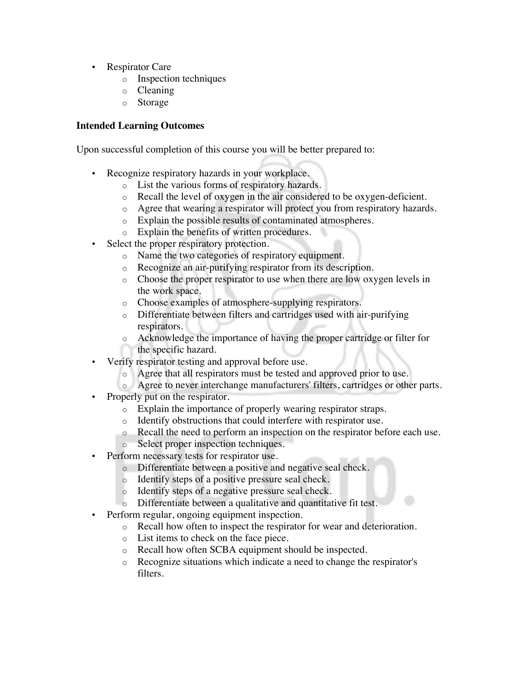- Respirator Care
	- o Inspection techniques
	- o Cleaning
	- o Storage

### **Intended Learning Outcomes**

Upon successful completion of this course you will be better prepared to:

- Recognize respiratory hazards in your workplace.
	- o List the various forms of respiratory hazards.
	- o Recall the level of oxygen in the air considered to be oxygen-deficient.
	- o Agree that wearing a respirator will protect you from respiratory hazards.
	- o Explain the possible results of contaminated atmospheres.
	- o Explain the benefits of written procedures.
- Select the proper respiratory protection.
	- o Name the two categories of respiratory equipment.
	- o Recognize an air-purifying respirator from its description.
	- o Choose the proper respirator to use when there are low oxygen levels in the work space.
	- o Choose examples of atmosphere-supplying respirators.
	- o Differentiate between filters and cartridges used with air-purifying respirators.
	- o Acknowledge the importance of having the proper cartridge or filter for the specific hazard.
- Verify respirator testing and approval before use.
	- o Agree that all respirators must be tested and approved prior to use.
	- o Agree to never interchange manufacturers' filters, cartridges or other parts.
- Properly put on the respirator.
	- o Explain the importance of properly wearing respirator straps.
	- o Identify obstructions that could interfere with respirator use.
	- o Recall the need to perform an inspection on the respirator before each use.
	- o Select proper inspection techniques.
- Perform necessary tests for respirator use.
	- o Differentiate between a positive and negative seal check.
	- o Identify steps of a positive pressure seal check.
	- o Identify steps of a negative pressure seal check.
	- o Differentiate between a qualitative and quantitative fit test.
- Perform regular, ongoing equipment inspection.
	- o Recall how often to inspect the respirator for wear and deterioration.
	- o List items to check on the face piece.
	- o Recall how often SCBA equipment should be inspected.
	- o Recognize situations which indicate a need to change the respirator's filters.